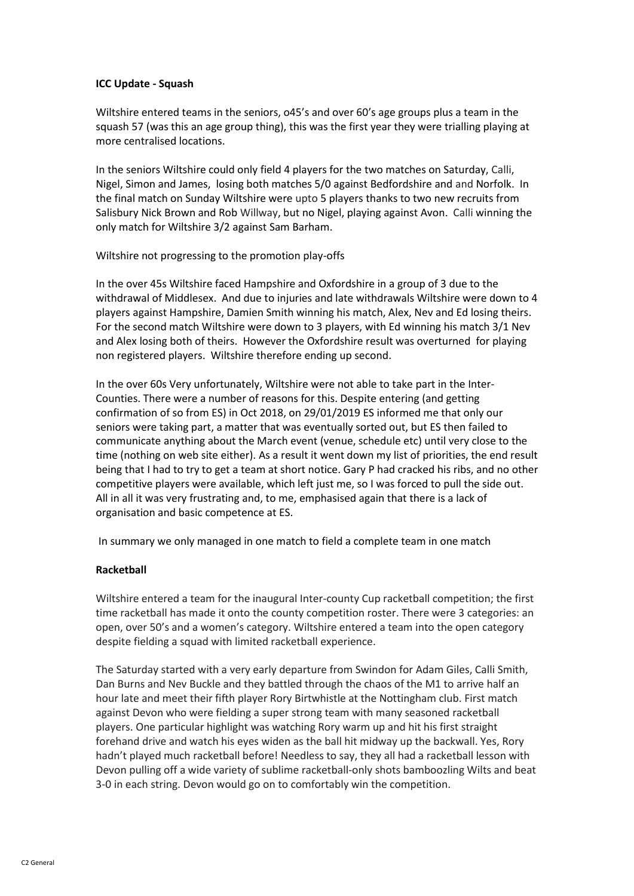## **ICC Update - Squash**

Wiltshire entered teams in the seniors, o45's and over 60's age groups plus a team in the squash 57 (was this an age group thing), this was the first year they were trialling playing at more centralised locations.

In the seniors Wiltshire could only field 4 players for the two matches on Saturday, Calli, Nigel, Simon and James, losing both matches 5/0 against Bedfordshire and and Norfolk. In the final match on Sunday Wiltshire were upto 5 players thanks to two new recruits from Salisbury Nick Brown and Rob Willway, but no Nigel, playing against Avon. Calli winning the only match for Wiltshire 3/2 against Sam Barham.

Wiltshire not progressing to the promotion play-offs

In the over 45s Wiltshire faced Hampshire and Oxfordshire in a group of 3 due to the withdrawal of Middlesex. And due to injuries and late withdrawals Wiltshire were down to 4 players against Hampshire, Damien Smith winning his match, Alex, Nev and Ed losing theirs. For the second match Wiltshire were down to 3 players, with Ed winning his match 3/1 Nev and Alex losing both of theirs. However the Oxfordshire result was overturned for playing non registered players. Wiltshire therefore ending up second.

In the over 60s Very unfortunately, Wiltshire were not able to take part in the Inter-Counties. There were a number of reasons for this. Despite entering (and getting confirmation of so from ES) in Oct 2018, on 29/01/2019 ES informed me that only our seniors were taking part, a matter that was eventually sorted out, but ES then failed to communicate anything about the March event (venue, schedule etc) until very close to the time (nothing on web site either). As a result it went down my list of priorities, the end result being that I had to try to get a team at short notice. Gary P had cracked his ribs, and no other competitive players were available, which left just me, so I was forced to pull the side out. All in all it was very frustrating and, to me, emphasised again that there is a lack of organisation and basic competence at ES.

In summary we only managed in one match to field a complete team in one match

## **Racketball**

Wiltshire entered a team for the inaugural Inter-county Cup racketball competition; the first time racketball has made it onto the county competition roster. There were 3 categories: an open, over 50's and a women's category. Wiltshire entered a team into the open category despite fielding a squad with limited racketball experience.

The Saturday started with a very early departure from Swindon for Adam Giles, Calli Smith, Dan Burns and Nev Buckle and they battled through the chaos of the M1 to arrive half an hour late and meet their fifth player Rory Birtwhistle at the Nottingham club. First match against Devon who were fielding a super strong team with many seasoned racketball players. One particular highlight was watching Rory warm up and hit his first straight forehand drive and watch his eyes widen as the ball hit midway up the backwall. Yes, Rory hadn't played much racketball before! Needless to say, they all had a racketball lesson with Devon pulling off a wide variety of sublime racketball-only shots bamboozling Wilts and beat 3-0 in each string. Devon would go on to comfortably win the competition.